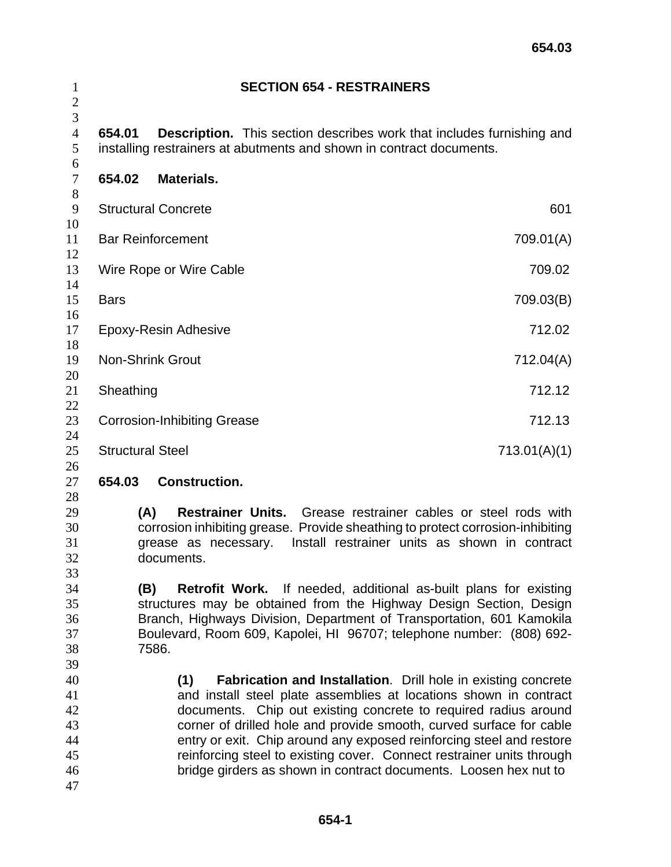| $\mathbf{1}$<br>$\mathbf{2}$                 |                                              | <b>SECTION 654 - RESTRAINERS</b>                                                                                                                                                                                                                                                                                                                                                                                                                                                                                |                                               |
|----------------------------------------------|----------------------------------------------|-----------------------------------------------------------------------------------------------------------------------------------------------------------------------------------------------------------------------------------------------------------------------------------------------------------------------------------------------------------------------------------------------------------------------------------------------------------------------------------------------------------------|-----------------------------------------------|
| 3<br>$\overline{4}$<br>5<br>6                | 654.01                                       | <b>Description.</b> This section describes work that includes furnishing and<br>installing restrainers at abutments and shown in contract documents.                                                                                                                                                                                                                                                                                                                                                            |                                               |
| $\boldsymbol{7}$                             | 654.02                                       | Materials.                                                                                                                                                                                                                                                                                                                                                                                                                                                                                                      |                                               |
| $8\,$<br>9                                   |                                              | <b>Structural Concrete</b>                                                                                                                                                                                                                                                                                                                                                                                                                                                                                      | 601                                           |
| 10<br>11                                     |                                              | <b>Bar Reinforcement</b>                                                                                                                                                                                                                                                                                                                                                                                                                                                                                        | 709.01(A)                                     |
| 12<br>13                                     |                                              | Wire Rope or Wire Cable                                                                                                                                                                                                                                                                                                                                                                                                                                                                                         | 709.02                                        |
| 14<br>15                                     | <b>Bars</b>                                  |                                                                                                                                                                                                                                                                                                                                                                                                                                                                                                                 | 709.03(B)                                     |
| 16<br>17                                     |                                              | Epoxy-Resin Adhesive                                                                                                                                                                                                                                                                                                                                                                                                                                                                                            | 712.02                                        |
| 18<br>19                                     |                                              | <b>Non-Shrink Grout</b>                                                                                                                                                                                                                                                                                                                                                                                                                                                                                         | 712.04(A)                                     |
| 20<br>21                                     | Sheathing                                    |                                                                                                                                                                                                                                                                                                                                                                                                                                                                                                                 | 712.12                                        |
| 22<br>23                                     | 712.13<br><b>Corrosion-Inhibiting Grease</b> |                                                                                                                                                                                                                                                                                                                                                                                                                                                                                                                 |                                               |
| 24<br>25                                     | <b>Structural Steel</b>                      |                                                                                                                                                                                                                                                                                                                                                                                                                                                                                                                 | 713.01(A)(1)                                  |
| 26<br>27                                     | 654.03                                       | <b>Construction.</b>                                                                                                                                                                                                                                                                                                                                                                                                                                                                                            |                                               |
| 28<br>29<br>30<br>31<br>32<br>33             | (A)                                          | <b>Restrainer Units.</b> Grease restrainer cables or steel rods with<br>corrosion inhibiting grease. Provide sheathing to protect corrosion-inhibiting<br>grease as necessary.<br>documents.                                                                                                                                                                                                                                                                                                                    | Install restrainer units as shown in contract |
| 34<br>35<br>36<br>37<br>38<br>39             | (B)                                          | <b>Retrofit Work.</b> If needed, additional as-built plans for existing<br>structures may be obtained from the Highway Design Section, Design<br>Branch, Highways Division, Department of Transportation, 601 Kamokila<br>Boulevard, Room 609, Kapolei, HI 96707; telephone number: (808) 692-<br>7586.                                                                                                                                                                                                         |                                               |
| 40<br>41<br>42<br>43<br>44<br>45<br>46<br>47 |                                              | (1)<br><b>Fabrication and Installation.</b> Drill hole in existing concrete<br>and install steel plate assemblies at locations shown in contract<br>documents. Chip out existing concrete to required radius around<br>corner of drilled hole and provide smooth, curved surface for cable<br>entry or exit. Chip around any exposed reinforcing steel and restore<br>reinforcing steel to existing cover. Connect restrainer units through<br>bridge girders as shown in contract documents. Loosen hex nut to |                                               |